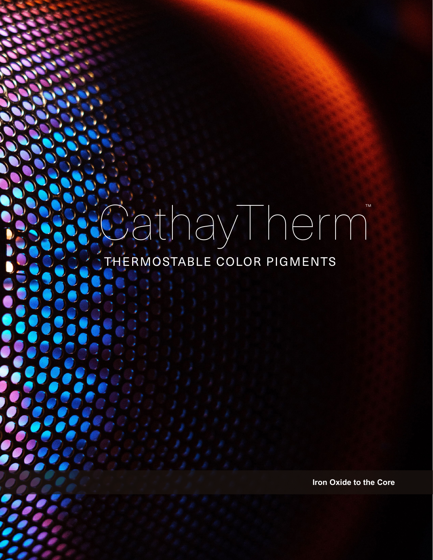# CathayTherm THERMOSTABLE COLOR PIGMENTS

**Iron Oxide to the Core**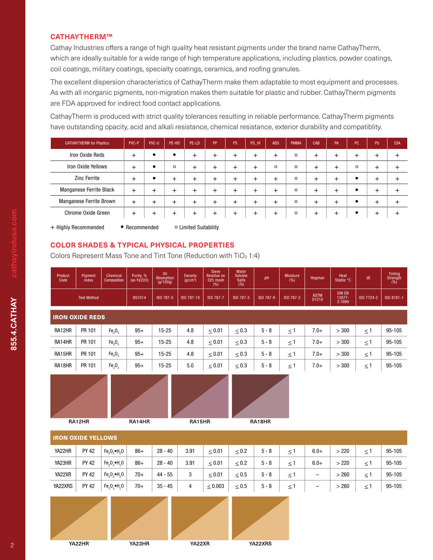#### **CATHAYTHERM™**

Cathay Industries offers a range of high quality heat resistant pigments under the brand name CathayTherm, which are ideally suitable for a wide range of high temperature applications, including plastics, powder coatings, coil coatings, military coatings, specialty coatings, ceramics, and roofing granules.

The excellent dispersion characteristics of CathayTherm make them adaptable to most equipment and processes. As with all inorganic pigments, non-migration makes them suitable for plastic and rubber. CathayTherm pigments are FDA approved for indirect food contact applications.

CathayTherm is produced with strict quality tolerances resulting in reliable performance. CathayTherm pigments have outstanding opacity, acid and alkali resistance, chemical resistance, exterior durability and compatiblity.

| <b>CATHAYTHERM for Plastics</b> | PVC-P  | PVC-U | PE-HD   | PE-LD        | PP     | <b>PS</b> | PS HI | ABS       | PMMA    | CAB    | PA        | PC        | <b>PU</b> | <b>EVA</b> |
|---------------------------------|--------|-------|---------|--------------|--------|-----------|-------|-----------|---------|--------|-----------|-----------|-----------|------------|
| Iron Oxide Reds                 | $\div$ |       | ٠       | $\pm$        | $\pm$  |           |       | $\ddot{}$ | $\circ$ | $\pm$  | $\pm$     | $\ddot{}$ | +         |            |
| Iron Oxide Yellows              | $\div$ |       | $\circ$ | $\ddot{}$    | $\div$ |           |       | $\circ$   | $\circ$ | $\div$ | $\ddot{}$ | $\circ$   | $\div$    |            |
| <b>Zinc Ferrite</b>             | $\div$ |       | +       | +            | ┿      |           |       | $\ddot{}$ | $\circ$ | $\div$ | $\ddot{}$ | $\bullet$ | +         |            |
| Manganese Ferrite Black         | $\pm$  |       | +       | +            | ÷      |           |       | $\div$    | $\circ$ | $\div$ | +         | $\bullet$ | $\div$    |            |
| Manganese Ferrite Brown         | $^{+}$ |       | ┿       | $\mathrm{+}$ | $\pm$  |           |       | $+$       | $\circ$ | $\pm$  | $\ddot{}$ | $\bullet$ | $^{+}$    |            |
| <b>Chrome Oxide Green</b>       | $\pm$  | +     | $^+$    | $\pm$        | $\pm$  | $\pm$     | ÷     | $^{+}$    | $\circ$ | $^{+}$ | $\ddot{}$ | $\bullet$ | $\,^+$    |            |

+ Highly Recommended • Recommended • Climited Suitability

## **COLOR SHADES & TYPICAL PHYSICAL PROPERTIES**

Colors Represent Mass Tone and Tint Tone (Reduction with TiO<sub>2</sub> 1:4)

| Product<br>Code           | Pigment<br>lndex       | Chemical<br>Composition        | Purity, %<br>(as Fe203) | Oil<br>Absorption<br>(q/100q) | <b>Density</b><br>(q/cm <sup>3</sup> ) | Sieve<br>Residue on<br>325 mesh<br>(%) | Water<br>Soluble<br><b>Salts</b><br>(% ) | pH        | <b>Moisture</b><br>(%) | Hegman               | Heat<br>Stable °C                 | dE         | Tinting<br>Strength<br>$(\% )$ |
|---------------------------|------------------------|--------------------------------|-------------------------|-------------------------------|----------------------------------------|----------------------------------------|------------------------------------------|-----------|------------------------|----------------------|-----------------------------------|------------|--------------------------------|
|                           | <b>Test Method</b>     |                                | <b>BS1014</b>           | ISO 787-5                     | ISO 787-10                             | ISO 787-7                              | ISO 787-3                                | ISO 787-9 | ISO 787-2              | <b>ASTM</b><br>D1210 | <b>DIN EN</b><br>12877-<br>2:1999 | ISO 7724-2 | ISO 8781-1                     |
|                           | <b>IRON OXIDE REDS</b> |                                |                         |                               |                                        |                                        |                                          |           |                        |                      |                                   |            |                                |
| RA12HR                    | PR 101                 | Fe <sub>2</sub> O <sub>3</sub> | $95+$                   | $15 - 25$                     | 4.8                                    | < 0.01                                 | < 0.3                                    | $5 - 8$   | $\leq$ 1               | $7.0+$               | > 300                             | $\leq$ 1   | 95-105                         |
| RA14HR                    | PR 101                 | Fe <sub>2</sub> O <sub>3</sub> | $95+$                   | $15 - 25$                     | 4.8                                    | < 0.01                                 | $\leq 0.3$                               | $5 - 8$   | $\leq$ 1               | $7.0+$               | > 300                             | $\leq$ 1   | 95-105                         |
| RA15HR                    | PR 101                 | Fe <sub>2</sub> O <sub>3</sub> | $95+$                   | $15 - 25$                     | 4.8                                    | < 0.01                                 | < 0.3                                    | $5 - 8$   | $\leq 1$               | $7.0+$               | > 300                             | $\leq$ 1   | 95-105                         |
| RA18HR                    | PR 101                 | Fe <sub>2</sub> O <sub>3</sub> | $95+$                   | $15 - 25$                     | $5.0\,$                                | $\leq 0.01$                            | $\leq 0.3$                               | $5 - 8$   | $\leq$ 1               | $7.0+$               | > 300                             | $\leq$ 1   | 95-105                         |
|                           |                        |                                |                         |                               |                                        |                                        |                                          |           |                        |                      |                                   |            |                                |
|                           | RA12HR                 |                                | RA14HR                  |                               | RA15HR                                 |                                        |                                          | RA18HR    |                        |                      |                                   |            |                                |
| <b>IRON OXIDE YELLOWS</b> |                        |                                |                         |                               |                                        |                                        |                                          |           |                        |                      |                                   |            |                                |
| YA22HR                    | <b>PY 42</b>           | $Fe2O3•H2O$                    | $86+$                   | $28 - 40$                     | 3.91                                   | < 0.01                                 | $\leq 0.2$                               | $5 - 8$   | $\leq$ 1               | $6.0+$               | > 220                             | $\leq$ 1   | 95-105                         |
| YA23HR                    | <b>PY 42</b>           | $Fe_2O_3$ . H <sub>2</sub> O   | $86+$                   | $28 - 40$                     | 3.91                                   | < 0.01                                 | < 0.2                                    | $5 - 8$   | $\leq$ 1               | $6.0+$               | > 220                             | $\leq$ 1   | 95-105                         |
|                           |                        |                                |                         |                               |                                        |                                        |                                          |           |                        |                      |                                   |            |                                |

| YA22XRS | PY 42        | $Fe_2O_3 \bullet H_2O$ | $70+$ | $35 - 45$ | $\overline{4}$ | $\leq 0.003$ | $\leq 0.5$ | $5 - 8$ | $\leq$ 1 | $\equiv$          | >260  | $\leq$ 1 | 95-105 |
|---------|--------------|------------------------|-------|-----------|----------------|--------------|------------|---------|----------|-------------------|-------|----------|--------|
| YA22XR  | <b>PY 42</b> | $Fe, 0, \bullet H, 0$  | $70+$ | 44 - 55   | 3              | $\leq 0.01$  | $\leq 0.5$ | $5 - 8$ | $\leq$ 1 | $\qquad \qquad -$ | > 260 | $\leq$ 1 | 95-105 |
| YA23HR  | <b>PY 42</b> | $Fe.0.$ $H.0$          | 86+   | $28 - 40$ | 3.91           | < 0.01       | < 0.2      | $5 - 8$ | $\leq$ 1 | $6.0+$            | >220  | < 1      | 95-105 |
| YA22HR  | <b>PY 42</b> | $Fe.0.$ $H.0$          | $86+$ | $28 - 40$ | 3.91           | < 0.01       | $\leq 0.2$ | 5 - 8   | $\leq$ 1 | $6.0+$            | >220  | $\leq$ 1 | 95-105 |
|         |              |                        |       |           |                |              |            |         |          |                   |       |          |        |

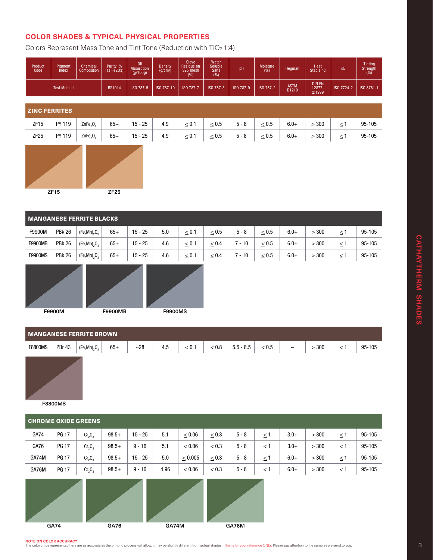### **COLOR SHADES & TYPICAL PHYSICAL PROPERTIES**

Colors Represent Mass Tone and Tint Tone (Reduction with TiO2 1:4)

| Product<br>Code    | Piament<br>Index | <b>Chemical</b><br>Composition | Purity, %<br>(as Fe <sub>203</sub> ) | Oil<br>Absorption<br>(g/100g) | Density<br>(g/cm <sup>3</sup> ) | <b>Sieve</b><br>Residue on<br>325 mesh<br>(%) | Water<br>Soluble <sup>'</sup><br><b>Salts</b><br>(%) | рH        | Moisture<br>(%)      | Hegman                            | Heat<br>Stable °C | dE         | Tintina<br>Strength<br>(%) |
|--------------------|------------------|--------------------------------|--------------------------------------|-------------------------------|---------------------------------|-----------------------------------------------|------------------------------------------------------|-----------|----------------------|-----------------------------------|-------------------|------------|----------------------------|
| <b>Test Method</b> |                  | <b>BS1014</b>                  | ISO 787-5                            | ISO 787-10                    | ISO 787-7                       | ISO 787-3                                     | ISO 787-9                                            | ISO 787-2 | <b>ASTM</b><br>D1210 | <b>DIN EN</b><br>12877-<br>2:1999 | ISO 7724-2        | ISO 8781-1 |                            |

ZINC FERRITES

|  |  | ZF15   PY119   ZnFe <sub>2</sub> O <sub>4</sub>   65+   15-25   4.9   $\leq$ 0.1   $\leq$ 0.5   5-8   $\leq$ 0.5   6.0+   $>$ 300   $\leq$ 1   95-105    |  |  |  |  |  |
|--|--|----------------------------------------------------------------------------------------------------------------------------------------------------------|--|--|--|--|--|
|  |  | ZF25   PY119   ZnFe <sub>2</sub> O <sub>4</sub>   65+   15 - 25   4.9   $\leq 0.1$   $\leq 0.5$   5 - 8   $\leq 0.5$   6.0+   $>300$   $\leq 1$   95-105 |  |  |  |  |  |



#### MANGANESE FERRITE BLACKS

| F9900M         | <b>PBk 26</b> | $(Fe, Mn)$ <sub>0</sub> $O$ <sub>c</sub> | $65+$ | $15 - 25$ | 5.0 | $\leq 0.1$ | $\leq 0.5$ | $5 - 8$ | < 0.5 | $6.0+$ | 300 |   | 95-105 |
|----------------|---------------|------------------------------------------|-------|-----------|-----|------------|------------|---------|-------|--------|-----|---|--------|
| <b>F9900MB</b> | <b>PBk 26</b> | $(Fe, Mn)$ <sub>2</sub> $O2$             | $65+$ | $15 - 25$ | 4.6 | $\leq 0.1$ | $\leq 0.4$ | $-10$   | < 0.5 | $6.0+$ | 300 |   | 95-105 |
| <b>F9900MS</b> | <b>PBk 26</b> | $(Fe, Mn)$ <sub>2</sub> O <sub>3</sub>   | $65+$ | $15 - 25$ | 4.6 | $\leq 0.1$ | $\leq 0.4$ | $-10$   | < 0.5 | $6.0+$ | 300 | ≤ | 95-105 |





| <b>MANGANESE FERRITE BROWN</b>  |                                               |     |     |            |  |                                         |  |  |       |          |        |  |
|---------------------------------|-----------------------------------------------|-----|-----|------------|--|-----------------------------------------|--|--|-------|----------|--------|--|
| <b>PBr 43</b><br><b>F8800MS</b> | $65+$<br>(Fe, Mn) <sub>2</sub> O <sub>3</sub> | ~28 | 4.5 | $\leq 0.1$ |  | $\leq 0.8$   5.5 - 8.5   $\leq 0.5$   - |  |  | > 300 | $\leq$ 1 | 95-105 |  |
| _ _ _ _ _ _ _ _                 |                                               |     |     |            |  |                                         |  |  |       |          |        |  |

F8800MS

|       | <b>CHROME OXIDE GREENS</b> |                                |         |           |      |              |            |         |          |        |       |          |        |
|-------|----------------------------|--------------------------------|---------|-----------|------|--------------|------------|---------|----------|--------|-------|----------|--------|
| GA74  | <b>PG 17</b>               | Cr <sub>2</sub> O <sub>3</sub> | $98.5+$ | $15 - 25$ | 5.1  | $\leq 0.06$  | $\leq 0.3$ | $5 - 8$ | $\leq$ 1 | $3.0+$ | > 300 | $\leq$ 1 | 95-105 |
| GA76  | <b>PG 17</b>               | Cr <sub>2</sub> O <sub>3</sub> | $98.5+$ | $9 - 16$  | 5.1  | $\leq 0.06$  | $\leq 0.3$ | $5 - 8$ | $\leq$ 1 | $3.0+$ | > 300 | $\leq$ 1 | 95-105 |
| GA74M | <b>PG 17</b>               | Cr <sub>2</sub> O <sub>3</sub> | $98.5+$ | $15 - 25$ | 5.0  | $\leq 0.005$ | $\leq 0.3$ | $5 - 8$ | $\leq$ 1 | $6.0+$ | > 300 | $\leq$ 1 | 95-105 |
| GA76M | <b>PG 17</b>               | Cr <sub>2</sub> O <sub>3</sub> | $98.5+$ | $9 - 16$  | 4.96 | $\leq 0.06$  | $\leq 0.3$ | $5 - 8$ | $\leq 1$ | $6.0+$ | > 300 | $\leq$ 1 | 95-105 |
|       |                            |                                |         |           |      |              |            |         |          |        |       |          |        |

CATHAYTHERM SHADES **CATHAYTHERM SHADES** 

GA74 GA76 GA74M GA76M